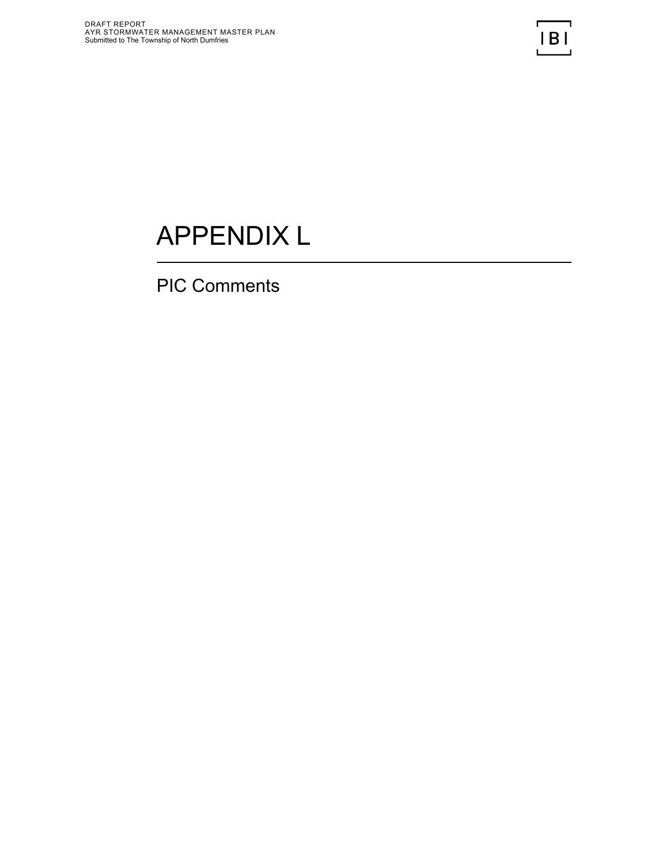# APPENDIX L

PIC Comments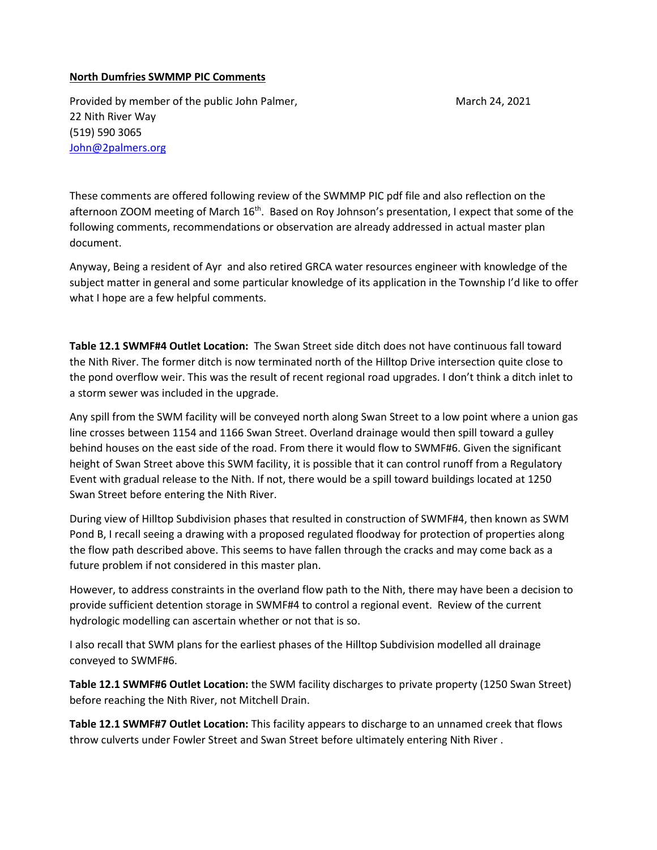### **North Dumfries SWMMP PIC Comments**

Provided by member of the public John Palmer, March 24, 2021 22 Nith River Way (519) 590 3065 [John@2palmers.org](mailto:John@2palmers.org)

These comments are offered following review of the SWMMP PIC pdf file and also reflection on the afternoon ZOOM meeting of March 16<sup>th</sup>. Based on Roy Johnson's presentation, I expect that some of the following comments, recommendations or observation are already addressed in actual master plan document.

Anyway, Being a resident of Ayr and also retired GRCA water resources engineer with knowledge of the subject matter in general and some particular knowledge of its application in the Township I'd like to offer what I hope are a few helpful comments.

**Table 12.1 SWMF#4 Outlet Location:** The Swan Street side ditch does not have continuous fall toward the Nith River. The former ditch is now terminated north of the Hilltop Drive intersection quite close to the pond overflow weir. This was the result of recent regional road upgrades. I don't think a ditch inlet to a storm sewer was included in the upgrade.

Any spill from the SWM facility will be conveyed north along Swan Street to a low point where a union gas line crosses between 1154 and 1166 Swan Street. Overland drainage would then spill toward a gulley behind houses on the east side of the road. From there it would flow to SWMF#6. Given the significant height of Swan Street above this SWM facility, it is possible that it can control runoff from a Regulatory Event with gradual release to the Nith. If not, there would be a spill toward buildings located at 1250 Swan Street before entering the Nith River.

During view of Hilltop Subdivision phases that resulted in construction of SWMF#4, then known as SWM Pond B, I recall seeing a drawing with a proposed regulated floodway for protection of properties along the flow path described above. This seems to have fallen through the cracks and may come back as a future problem if not considered in this master plan.

However, to address constraints in the overland flow path to the Nith, there may have been a decision to provide sufficient detention storage in SWMF#4 to control a regional event. Review of the current hydrologic modelling can ascertain whether or not that is so.

I also recall that SWM plans for the earliest phases of the Hilltop Subdivision modelled all drainage conveyed to SWMF#6.

**Table 12.1 SWMF#6 Outlet Location:** the SWM facility discharges to private property (1250 Swan Street) before reaching the Nith River, not Mitchell Drain.

**Table 12.1 SWMF#7 Outlet Location:** This facility appears to discharge to an unnamed creek that flows throw culverts under Fowler Street and Swan Street before ultimately entering Nith River .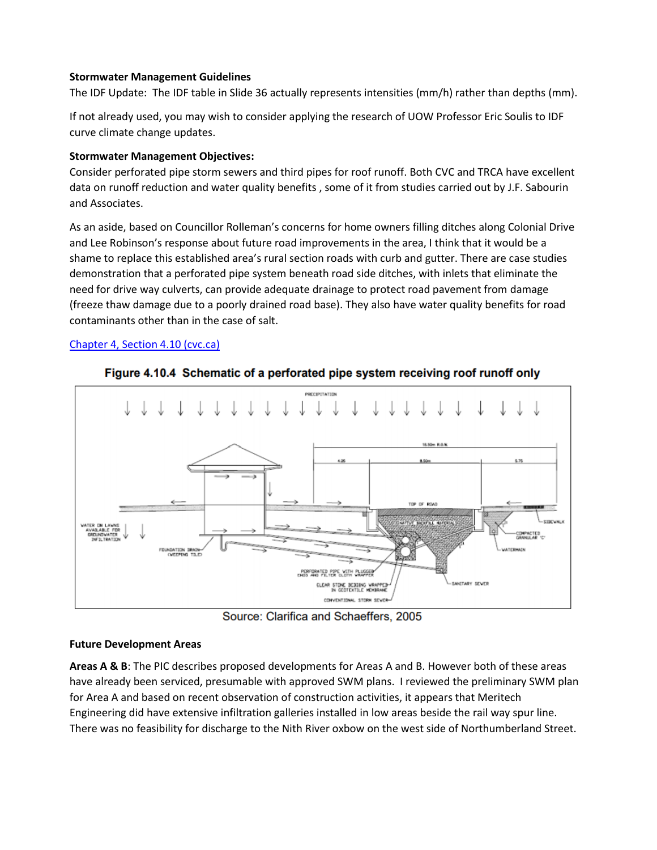#### **Stormwater Management Guidelines**

The IDF Update: The IDF table in Slide 36 actually represents intensities (mm/h) rather than depths (mm).

If not already used, you may wish to consider applying the research of UOW Professor Eric Soulis to IDF curve climate change updates.

## **Stormwater Management Objectives:**

Consider perforated pipe storm sewers and third pipes for roof runoff. Both CVC and TRCA have excellent data on runoff reduction and water quality benefits , some of it from studies carried out by J.F. Sabourin and Associates.

As an aside, based on Councillor Rolleman's concerns for home owners filling ditches along Colonial Drive and Lee Robinson's response about future road improvements in the area, I think that it would be a shame to replace this established area's rural section roads with curb and gutter. There are case studies demonstration that a perforated pipe system beneath road side ditches, with inlets that eliminate the need for drive way culverts, can provide adequate drainage to protect road pavement from damage (freeze thaw damage due to a poorly drained road base). They also have water quality benefits for road contaminants other than in the case of salt.

# [Chapter 4, Section 4.10 \(cvc.ca\)](https://cvc.ca/wp-content/uploads/2012/02/lid-swm-guide-chapter4-4.10-perforated-pipe-systems.pdf)



Figure 4.10.4 Schematic of a perforated pipe system receiving roof runoff only

Source: Clarifica and Schaeffers, 2005

### **Future Development Areas**

**Areas A & B**: The PIC describes proposed developments for Areas A and B. However both of these areas have already been serviced, presumable with approved SWM plans. I reviewed the preliminary SWM plan for Area A and based on recent observation of construction activities, it appears that Meritech Engineering did have extensive infiltration galleries installed in low areas beside the rail way spur line. There was no feasibility for discharge to the Nith River oxbow on the west side of Northumberland Street.